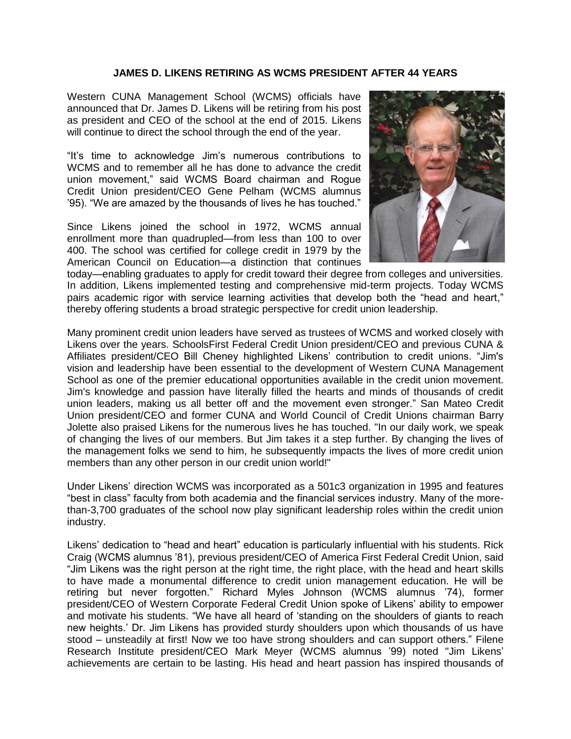## **JAMES D. LIKENS RETIRING AS WCMS PRESIDENT AFTER 44 YEARS**

Western CUNA Management School (WCMS) officials have announced that Dr. James D. Likens will be retiring from his post as president and CEO of the school at the end of 2015. Likens will continue to direct the school through the end of the year.

"It's time to acknowledge Jim's numerous contributions to WCMS and to remember all he has done to advance the credit union movement," said WCMS Board chairman and Rogue Credit Union president/CEO Gene Pelham (WCMS alumnus '95). "We are amazed by the thousands of lives he has touched."

Since Likens joined the school in 1972, WCMS annual enrollment more than quadrupled—from less than 100 to over 400. The school was certified for college credit in 1979 by the American Council on Education—a distinction that continues



today—enabling graduates to apply for credit toward their degree from colleges and universities. In addition, Likens implemented testing and comprehensive mid-term projects. Today WCMS pairs academic rigor with service learning activities that develop both the "head and heart," thereby offering students a broad strategic perspective for credit union leadership.

Many prominent credit union leaders have served as trustees of WCMS and worked closely with Likens over the years. SchoolsFirst Federal Credit Union president/CEO and previous CUNA & Affiliates president/CEO Bill Cheney highlighted Likens' contribution to credit unions. "Jim's vision and leadership have been essential to the development of Western CUNA Management School as one of the premier educational opportunities available in the credit union movement. Jim's knowledge and passion have literally filled the hearts and minds of thousands of credit union leaders, making us all better off and the movement even stronger." San Mateo Credit Union president/CEO and former CUNA and World Council of Credit Unions chairman Barry Jolette also praised Likens for the numerous lives he has touched. "In our daily work, we speak of changing the lives of our members. But Jim takes it a step further. By changing the lives of the management folks we send to him, he subsequently impacts the lives of more credit union members than any other person in our credit union world!"

Under Likens' direction WCMS was incorporated as a 501c3 organization in 1995 and features "best in class" faculty from both academia and the financial services industry. Many of the morethan-3,700 graduates of the school now play significant leadership roles within the credit union industry.

Likens' dedication to "head and heart" education is particularly influential with his students. Rick Craig (WCMS alumnus '81), previous president/CEO of America First Federal Credit Union, said "Jim Likens was the right person at the right time, the right place, with the head and heart skills to have made a monumental difference to credit union management education. He will be retiring but never forgotten." Richard Myles Johnson (WCMS alumnus '74), former president/CEO of Western Corporate Federal Credit Union spoke of Likens' ability to empower and motivate his students. "We have all heard of 'standing on the shoulders of giants to reach new heights.' Dr. Jim Likens has provided sturdy shoulders upon which thousands of us have stood – unsteadily at first! Now we too have strong shoulders and can support others." Filene Research Institute president/CEO Mark Meyer (WCMS alumnus '99) noted "Jim Likens' achievements are certain to be lasting. His head and heart passion has inspired thousands of